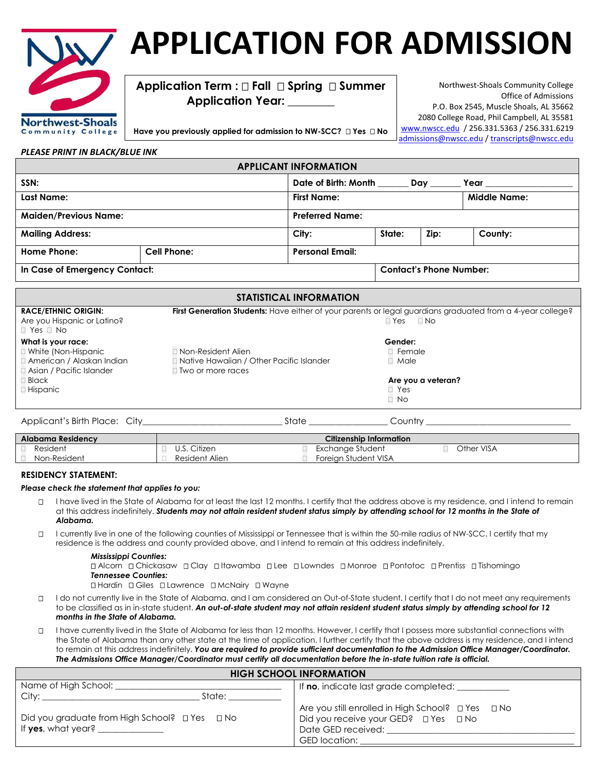

## **APPLICATION FOR ADMISSION**

**Application Term : Fall Spring Summer Application Year: \_\_\_\_\_\_\_\_**

Northwest-Shoals Community College Office of Admissions P.O. Box 2545, Muscle Shoals, AL 35662 2080 College Road, Phil Campbell, AL 35581 [www.nwscc.edu](http://www.nwscc.edu/) / 256.331.5363 / 256.331.6219 [admissions@nwscc.edu](mailto:admissions@nwscc.edu) / [transcripts@nwscc.edu](mailto:transcripts@nwscc.edu)

**Have you previously applied for admission to NW-SCC? Yes No** 

| <b>APPLICANT INFORMATION</b>   |                    |                                |        |                     |         |
|--------------------------------|--------------------|--------------------------------|--------|---------------------|---------|
| SSN:                           |                    | Date of Birth: Month           |        | Day                 | Year    |
| Last Name:                     |                    | <b>First Name:</b>             |        | <b>Middle Name:</b> |         |
| <b>Maiden/Previous Name:</b>   |                    | <b>Preferred Name:</b>         |        |                     |         |
| <b>Mailing Address:</b>        |                    | City:                          | State: | Zip:                | County: |
| <b>Home Phone:</b>             | <b>Cell Phone:</b> | <b>Personal Email:</b>         |        |                     |         |
| In Case of Emergency Contact:  |                    | <b>Contact's Phone Number:</b> |        |                     |         |
|                                |                    |                                |        |                     |         |
| <b>STATISTICAL INFORMATION</b> |                    |                                |        |                     |         |

| <b>RACE/ETHNIC ORIGIN:</b><br>Are you Hispanic or Latino?<br>$\Box$ Yes $\Box$ No                           | First Generation Students: Have either of your parents or legal guardians graduated from a 4-year college? | $\Box$ Yes<br>$\Box$ No                       |
|-------------------------------------------------------------------------------------------------------------|------------------------------------------------------------------------------------------------------------|-----------------------------------------------|
| What is your race:<br>$\Box$ White (Non-Hispanic<br>□ American / Alaskan Indian<br>Asian / Pacific Islander | □ Non-Resident Alien<br>□ Native Hawaiian / Other Pacific Islander<br>$\Box$ Two or more races             | Gender:<br>Female<br>Male<br>п                |
| $\Box$ Black<br>$\Box$ Hispanic                                                                             |                                                                                                            | Are you a veteran?<br>$\Box$ Yes<br>$\Box$ No |

| S. |
|----|
|    |

Applicant's Birth Place: City\_\_\_\_\_\_\_\_\_\_\_\_\_\_\_\_\_\_\_\_\_\_\_\_\_\_\_\_\_\_\_\_ State \_\_\_\_\_\_\_\_\_\_\_\_\_\_\_\_\_\_ Country \_\_\_\_\_\_\_\_\_\_\_\_\_\_\_\_\_\_\_\_\_\_\_\_\_\_\_\_\_\_\_\_\_

| Alabama Residency |                | <b>Citizenship Information</b> |            |
|-------------------|----------------|--------------------------------|------------|
| Resident          | Citizen        | Exchange Student               | Other VISA |
| Non-Resident      | Resident Alien | Foreian Student VISA           |            |

## **RESIDENCY STATEMENT:**

## *Please check the statement that applies to you:*

- I have lived in the State of Alabama for at least the last 12 months. I certify that the address above is my residence, and I intend to remain at this address indefinitely. *Students may not attain resident student status simply by attending school for 12 months in the State of Alabama.*
- I currently live in one of the following counties of Mississippi or Tennessee that is within the 50-mile radius of NW-SCC. I certify that my residence is the address and county provided above, and I intend to remain at this address indefinitely.

## *Mississippi Counties:*

 Alcorn Chickasaw Clay Itawamba Lee Lowndes Monroe Pontotoc Prentiss Tishomingo *Tennessee Counties:*

Hardin Giles Lawrence McNairy Wayne

- I do not currently live in the State of Alabama, and I am considered an Out-of-State student. I certify that I do not meet any requirements to be classified as in in-state student. *An out-of-state student may not attain resident student status simply by attending school for 12 months in the State of Alabama.*
- I have currently lived in the State of Alabama for less than 12 months. However, I certify that I possess more substantial connections with the State of Alabama than any other state at the time of application. I further certify that the above address is my residence, and I intend to remain at this address indefinitely. *You are required to provide sufficient documentation to the Admission Office Manager/Coordinator. The Admissions Office Manager/Coordinator must certify all documentation before the in-state tuition rate is official.*

| <b>HIGH SCHOOL INFORMATION</b>                                                                                                                                                                                                           |                                                                                                                                                                       |  |  |  |
|------------------------------------------------------------------------------------------------------------------------------------------------------------------------------------------------------------------------------------------|-----------------------------------------------------------------------------------------------------------------------------------------------------------------------|--|--|--|
| Name of High School:                                                                                                                                                                                                                     | If no, indicate last grade completed:                                                                                                                                 |  |  |  |
| State:<br>City: the contract of the contract of the contract of the contract of the contract of the contract of the contract of the contract of the contract of the contract of the contract of the contract of the contract of the cont |                                                                                                                                                                       |  |  |  |
| Did you graduate from High School? □ Yes □ No<br>If $yes$ , what $year$ $\frac{1}{1}$                                                                                                                                                    | Are you still enrolled in High School? □ Yes □ No<br>Did you receive your GED? □ Yes □ No<br>Date GED received: National Action of the CED received:<br>GED location: |  |  |  |